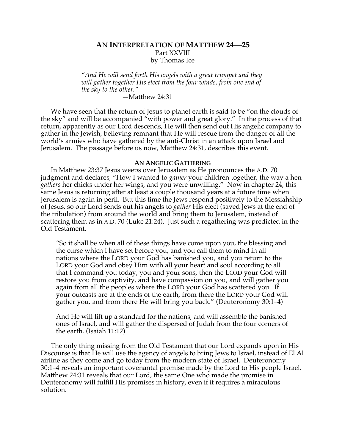# **AN INTERPRETATION OF MATTHEW 24—25** Part XXVIII by Thomas Ice

*"And He will send forth His angels with a great trumpet and they will gather together His elect from the four winds, from one end of the sky to the other."*

## *—*Matthew 24:31

We have seen that the return of Jesus to planet earth is said to be "on the clouds of the sky" and will be accompanied "with power and great glory." In the process of that return, apparently as our Lord descends, He will then send out His angelic company to gather in the Jewish, believing remnant that He will rescue from the danger of all the world's armies who have gathered by the anti-Christ in an attack upon Israel and Jerusalem. The passage before us now, Matthew 24:31, describes this event.

### **AN ANGELIC GATHERING**

In Matthew 23:37 Jesus weeps over Jerusalem as He pronounces the A.D. 70 judgment and declares, "How I wanted to *gather* your children together, the way a hen *gathers* her chicks under her wings, and you were unwilling." Now in chapter 24, this same Jesus is returning after at least a couple thousand years at a future time when Jerusalem is again in peril. But this time the Jews respond positively to the Messiahship of Jesus, so our Lord sends out his angels to *gather* His elect (saved Jews at the end of the tribulation) from around the world and bring them to Jerusalem, instead of scattering them as in A.D. 70 (Luke 21:24). Just such a regathering was predicted in the Old Testament.

"So it shall be when all of these things have come upon you, the blessing and the curse which I have set before you, and you call them to mind in all nations where the LORD your God has banished you, and you return to the LORD your God and obey Him with all your heart and soul according to all that I command you today, you and your sons, then the LORD your God will restore you from captivity, and have compassion on you, and will gather you again from all the peoples where the LORD your God has scattered you. If your outcasts are at the ends of the earth, from there the LORD your God will gather you, and from there He will bring you back." (Deuteronomy 30:1–4)

And He will lift up a standard for the nations, and will assemble the banished ones of Israel, and will gather the dispersed of Judah from the four corners of the earth. (Isaiah 11:12)

The only thing missing from the Old Testament that our Lord expands upon in His Discourse is that He will use the agency of angels to bring Jews to Israel, instead of El Al airline as they come and go today from the modern state of Israel. Deuteronomy 30:1–4 reveals an important covenantal promise made by the Lord to His people Israel. Matthew 24:31 reveals that our Lord, the same One who made the promise in Deuteronomy will fulfill His promises in history, even if it requires a miraculous solution.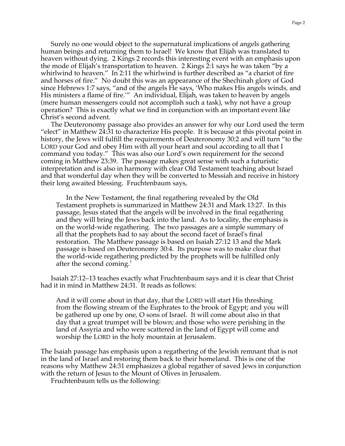Surely no one would object to the supernatural implications of angels gathering human beings and returning them to Israel! We know that Elijah was translated to heaven without dying. 2 Kings 2 records this interesting event with an emphasis upon the mode of Elijah's transportation to heaven. 2 Kings 2:1 says he was taken "by a whirlwind to heaven." In 2:11 the whirlwind is further described as "a chariot of fire and horses of fire." No doubt this was an appearance of the Shechinah glory of God since Hebrews 1:7 says, "and of the angels He says, 'Who makes His angels winds, and His ministers a flame of fire.'" An individual, Elijah, was taken to heaven by angels (mere human messengers could not accomplish such a task), why not have a group operation? This is exactly what we find in conjunction with an important event like Christ's second advent.

The Deuteronomy passage also provides an answer for why our Lord used the term "elect" in Matthew 24:31 to characterize His people. It is because at this pivotal point in history, the Jews will fulfill the requirements of Deuteronomy 30:2 and will turn "to the LORD your God and obey Him with all your heart and soul according to all that I command you today." This was also our Lord's own requirement for the second coming in Matthew 23:39. The passage makes great sense with such a futuristic interpretation and is also in harmony with clear Old Testament teaching about Israel and that wonderful day when they will be converted to Messiah and receive in history their long awaited blessing. Fruchtenbaum says,

In the New Testament, the final regathering revealed by the Old Testament prophets is summarized in Matthew 24:31 and Mark 13:27. In this passage, Jesus stated that the angels will be involved in the final regathering and they will bring the Jews back into the land. As to locality, the emphasis is on the world-wide regathering. The two passages are a simple summary of all that the prophets had to say about the second facet of Israel's final restoration. The Matthew passage is based on Isaiah 27:12 13 and the Mark passage is based on Deuteronomy 30:4. Its purpose was to make clear that the world-wide regathering predicted by the prophets will be fulfilled only after the second coming.<sup>1</sup>

Isaiah 27:12–13 teaches exactly what Fruchtenbaum says and it is clear that Christ had it in mind in Matthew 24:31. It reads as follows:

And it will come about in that day, that the LORD will start His threshing from the flowing stream of the Euphrates to the brook of Egypt; and you will be gathered up one by one, O sons of Israel. It will come about also in that day that a great trumpet will be blown; and those who were perishing in the land of Assyria and who were scattered in the land of Egypt will come and worship the LORD in the holy mountain at Jerusalem.

The Isaiah passage has emphasis upon a regathering of the Jewish remnant that is not in the land of Israel and restoring them back to their homeland. This is one of the reasons why Matthew 24:31 emphasizes a global regather of saved Jews in conjunction with the return of Jesus to the Mount of Olives in Jerusalem.

Fruchtenbaum tells us the following: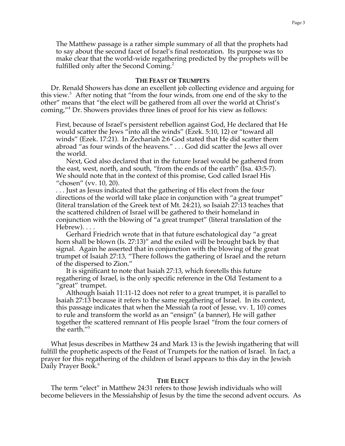The Matthew passage is a rather simple summary of all that the prophets had to say about the second facet of Israel's final restoration. Its purpose was to make clear that the world-wide regathering predicted by the prophets will be fulfilled only after the Second Coming.<sup>2</sup>

### **THE FEAST OF TRUMPETS**

Dr. Renald Showers has done an excellent job collecting evidence and arguing for this view.<sup>3</sup> After noting that "from the four winds, from one end of the sky to the other" means that "the elect will be gathered from all over the world at Christ's coming,"4 Dr. Showers provides three lines of proof for his view as follows:

First, because of Israel's persistent rebellion against God, He declared that He would scatter the Jews "into all the winds" (Ezek. 5:10, 12) or "toward all winds" (Ezek. 17:21). In Zechariah 2:6 God stated that He did scatter them abroad "as four winds of the heavens." . . . God did scatter the Jews all over the world.

Next, God also declared that in the future Israel would be gathered from the east, west, north, and south, "from the ends of the earth" (Isa. 43:5-7). We should note that in the context of this promise, God called Israel His "chosen" (vv. 10, 20).

. . . Just as Jesus indicated that the gathering of His elect from the four directions of the world will take place in conjunction with "a great trumpet" (literal translation of the Greek text of Mt. 24:21), so Isaiah 27:13 teaches that the scattered children of Israel will be gathered to their homeland in conjunction with the blowing of "a great trumpet" (literal translation of the Hebrew). . . .

Gerhard Friedrich wrote that in that future eschatological day "a great horn shall be blown (Is. 27:13)" and the exiled will be brought back by that signal. Again he asserted that in conjunction with the blowing of the great trumpet of Isaiah 27:13, "There follows the gathering of Israel and the return of the dispersed to Zion."

It is significant to note that Isaiah 27:13, which foretells this future regathering of Israel, is the only specific reference in the Old Testament to a "great" trumpet.

Although Isaiah 11:11-12 does not refer to a great trumpet, it is parallel to Isaiah 27:13 because it refers to the same regathering of Israel. In its context, this passage indicates that when the Messiah (a root of Jesse, vv. 1, 10) comes to rule and transform the world as an "ensign" (a banner), He will gather together the scattered remnant of His people Israel "from the four corners of the earth."<sup>5</sup>

What Jesus describes in Matthew 24 and Mark 13 is the Jewish ingathering that will fulfill the prophetic aspects of the Feast of Trumpets for the nation of Israel. In fact, a prayer for this regathering of the children of Israel appears to this day in the Jewish Daily Prayer Book.<sup>6</sup>

### **THE ELECT**

The term "elect" in Matthew 24:31 refers to those Jewish individuals who will become believers in the Messiahship of Jesus by the time the second advent occurs. As